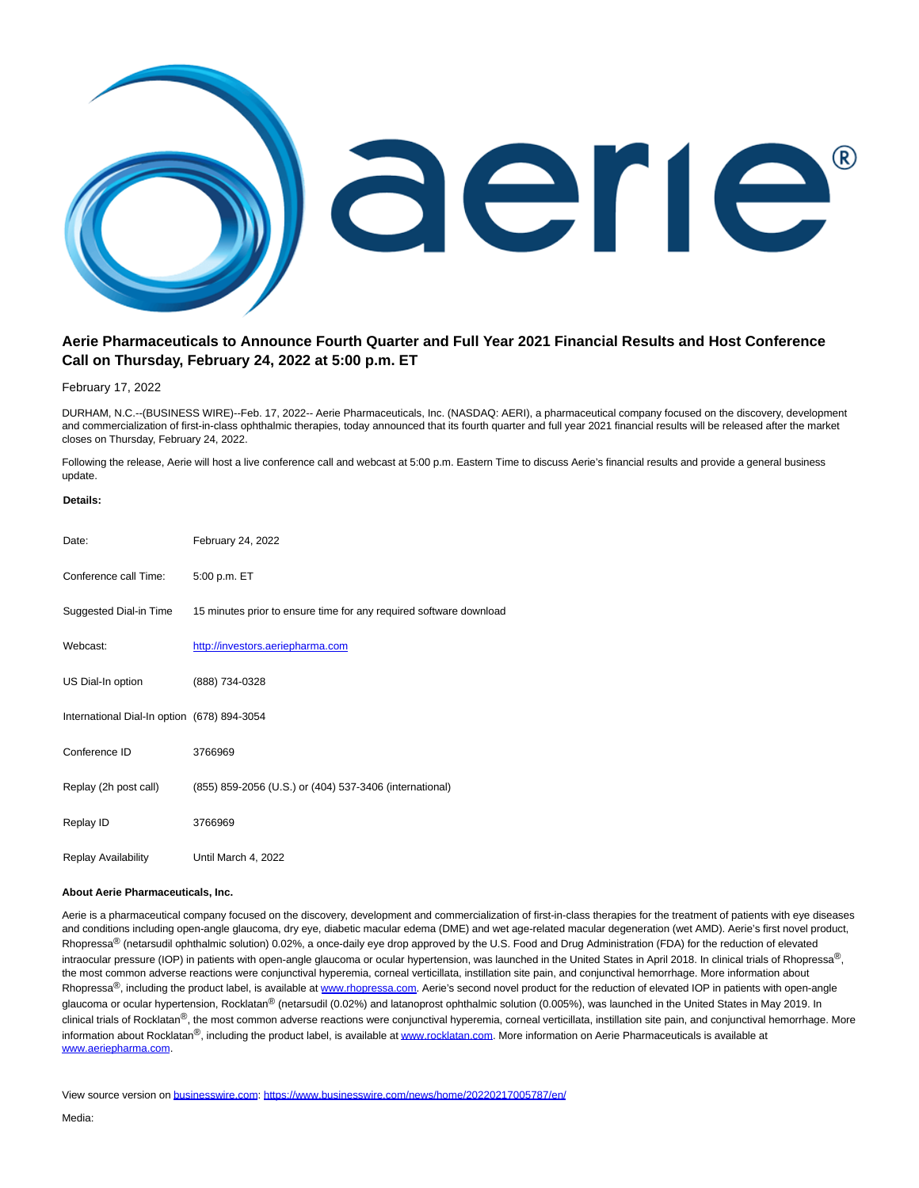

## **Aerie Pharmaceuticals to Announce Fourth Quarter and Full Year 2021 Financial Results and Host Conference Call on Thursday, February 24, 2022 at 5:00 p.m. ET**

## February 17, 2022

DURHAM, N.C.--(BUSINESS WIRE)--Feb. 17, 2022-- Aerie Pharmaceuticals, Inc. (NASDAQ: AERI), a pharmaceutical company focused on the discovery, development and commercialization of first-in-class ophthalmic therapies, today announced that its fourth quarter and full year 2021 financial results will be released after the market closes on Thursday, February 24, 2022.

Following the release, Aerie will host a live conference call and webcast at 5:00 p.m. Eastern Time to discuss Aerie's financial results and provide a general business update.

## **Details:**

| Date:                                       | February 24, 2022                                                  |
|---------------------------------------------|--------------------------------------------------------------------|
| Conference call Time:                       | 5:00 p.m. ET                                                       |
| Suggested Dial-in Time                      | 15 minutes prior to ensure time for any required software download |
| Webcast:                                    | http://investors.aeriepharma.com                                   |
| US Dial-In option                           | (888) 734-0328                                                     |
| International Dial-In option (678) 894-3054 |                                                                    |
| Conference ID                               | 3766969                                                            |
| Replay (2h post call)                       | (855) 859-2056 (U.S.) or (404) 537-3406 (international)            |
| Replay ID                                   | 3766969                                                            |
| Replay Availability                         | Until March 4, 2022                                                |

## **About Aerie Pharmaceuticals, Inc.**

Aerie is a pharmaceutical company focused on the discovery, development and commercialization of first-in-class therapies for the treatment of patients with eye diseases and conditions including open-angle glaucoma, dry eye, diabetic macular edema (DME) and wet age-related macular degeneration (wet AMD). Aerie's first novel product, Rhopressa<sup>®</sup> (netarsudil ophthalmic solution) 0.02%, a once-daily eye drop approved by the U.S. Food and Drug Administration (FDA) for the reduction of elevated intraocular pressure (IOP) in patients with open-angle glaucoma or ocular hypertension, was launched in the United States in April 2018. In clinical trials of Rhopressa®, the most common adverse reactions were conjunctival hyperemia, corneal verticillata, instillation site pain, and conjunctival hemorrhage. More information about Rhopressa<sup>®</sup>, including the product label, is available a[t www.rhopressa.com.](https://cts.businesswire.com/ct/CT?id=smartlink&url=http%3A%2F%2Fwww.rhopressa.com&esheet=52581581&newsitemid=20220217005787&lan=en-US&anchor=www.rhopressa.com&index=2&md5=478e07d0852bb7295006abd33d68b843) Aerie's second novel product for the reduction of elevated IOP in patients with open-angle glaucoma or ocular hypertension, Rocklatan® (netarsudil (0.02%) and latanoprost ophthalmic solution (0.005%), was launched in the United States in May 2019. In clinical trials of Rocklatan<sup>®</sup>, the most common adverse reactions were conjunctival hyperemia, corneal verticillata, instillation site pain, and conjunctival hemorrhage. More information about Rocklatan®, including the product label, is available at [www.rocklatan.com.](https://cts.businesswire.com/ct/CT?id=smartlink&url=http%3A%2F%2Fwww.rocklatan.com&esheet=52581581&newsitemid=20220217005787&lan=en-US&anchor=www.rocklatan.com&index=3&md5=5b30cd9da4109b3e543e108991b44ede) More information on Aerie Pharmaceuticals is available at [www.aeriepharma.com.](https://cts.businesswire.com/ct/CT?id=smartlink&url=http%3A%2F%2Fwww.aeriepharma.com&esheet=52581581&newsitemid=20220217005787&lan=en-US&anchor=www.aeriepharma.com&index=4&md5=483b4fc1ac487dec72d560829b08b728)